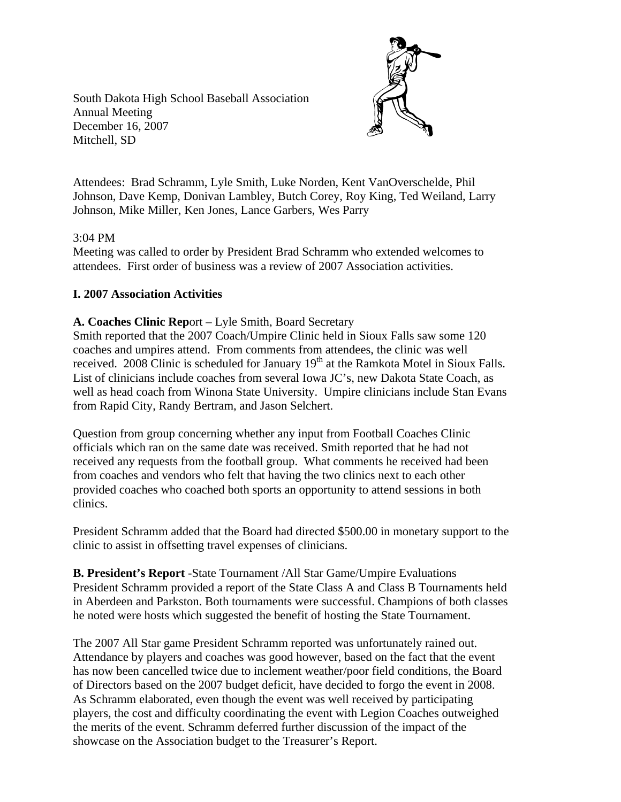South Dakota High School Baseball Association Annual Meeting December 16, 2007 Mitchell, SD



Attendees: Brad Schramm, Lyle Smith, Luke Norden, Kent VanOverschelde, Phil Johnson, Dave Kemp, Donivan Lambley, Butch Corey, Roy King, Ted Weiland, Larry Johnson, Mike Miller, Ken Jones, Lance Garbers, Wes Parry

## 3:04 PM

Meeting was called to order by President Brad Schramm who extended welcomes to attendees. First order of business was a review of 2007 Association activities.

# **I. 2007 Association Activities**

## **A. Coaches Clinic Rep**ort – Lyle Smith, Board Secretary

Smith reported that the 2007 Coach/Umpire Clinic held in Sioux Falls saw some 120 coaches and umpires attend. From comments from attendees, the clinic was well received. 2008 Clinic is scheduled for January  $19<sup>th</sup>$  at the Ramkota Motel in Sioux Falls. List of clinicians include coaches from several Iowa JC's, new Dakota State Coach, as well as head coach from Winona State University. Umpire clinicians include Stan Evans from Rapid City, Randy Bertram, and Jason Selchert.

Question from group concerning whether any input from Football Coaches Clinic officials which ran on the same date was received. Smith reported that he had not received any requests from the football group. What comments he received had been from coaches and vendors who felt that having the two clinics next to each other provided coaches who coached both sports an opportunity to attend sessions in both clinics.

President Schramm added that the Board had directed \$500.00 in monetary support to the clinic to assist in offsetting travel expenses of clinicians.

**B. President's Report** -State Tournament /All Star Game/Umpire Evaluations President Schramm provided a report of the State Class A and Class B Tournaments held in Aberdeen and Parkston. Both tournaments were successful. Champions of both classes he noted were hosts which suggested the benefit of hosting the State Tournament.

The 2007 All Star game President Schramm reported was unfortunately rained out. Attendance by players and coaches was good however, based on the fact that the event has now been cancelled twice due to inclement weather/poor field conditions, the Board of Directors based on the 2007 budget deficit, have decided to forgo the event in 2008. As Schramm elaborated, even though the event was well received by participating players, the cost and difficulty coordinating the event with Legion Coaches outweighed the merits of the event. Schramm deferred further discussion of the impact of the showcase on the Association budget to the Treasurer's Report.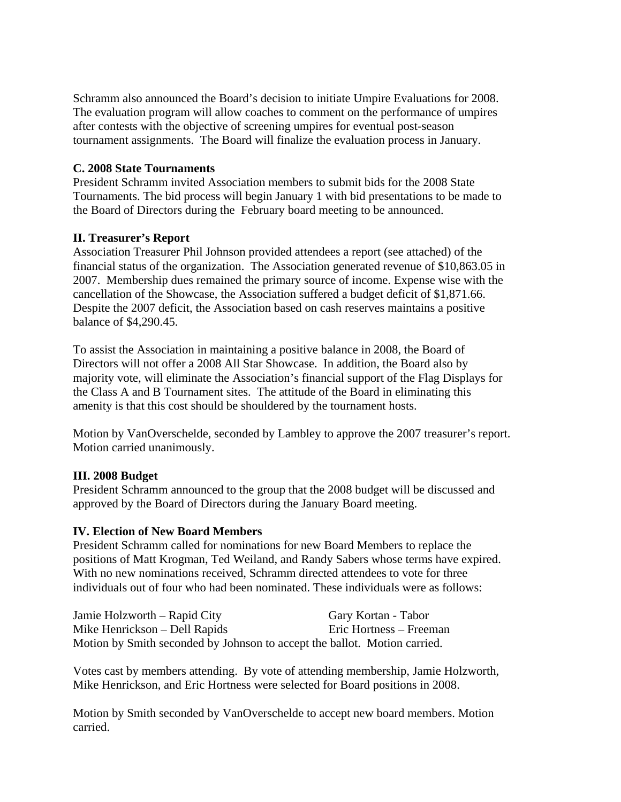Schramm also announced the Board's decision to initiate Umpire Evaluations for 2008. The evaluation program will allow coaches to comment on the performance of umpires after contests with the objective of screening umpires for eventual post-season tournament assignments. The Board will finalize the evaluation process in January.

### **C. 2008 State Tournaments**

President Schramm invited Association members to submit bids for the 2008 State Tournaments. The bid process will begin January 1 with bid presentations to be made to the Board of Directors during the February board meeting to be announced.

#### **II. Treasurer's Report**

Association Treasurer Phil Johnson provided attendees a report (see attached) of the financial status of the organization. The Association generated revenue of \$10,863.05 in 2007. Membership dues remained the primary source of income. Expense wise with the cancellation of the Showcase, the Association suffered a budget deficit of \$1,871.66. Despite the 2007 deficit, the Association based on cash reserves maintains a positive balance of \$4,290.45.

To assist the Association in maintaining a positive balance in 2008, the Board of Directors will not offer a 2008 All Star Showcase. In addition, the Board also by majority vote, will eliminate the Association's financial support of the Flag Displays for the Class A and B Tournament sites. The attitude of the Board in eliminating this amenity is that this cost should be shouldered by the tournament hosts.

Motion by VanOverschelde, seconded by Lambley to approve the 2007 treasurer's report. Motion carried unanimously.

## **III. 2008 Budget**

President Schramm announced to the group that the 2008 budget will be discussed and approved by the Board of Directors during the January Board meeting.

## **IV. Election of New Board Members**

President Schramm called for nominations for new Board Members to replace the positions of Matt Krogman, Ted Weiland, and Randy Sabers whose terms have expired. With no new nominations received, Schramm directed attendees to vote for three individuals out of four who had been nominated. These individuals were as follows:

| Jamie Holzworth – Rapid City                                              | Gary Kortan - Tabor     |
|---------------------------------------------------------------------------|-------------------------|
| Mike Henrickson – Dell Rapids                                             | Eric Hortness – Freeman |
| Motion by Smith seconded by Johnson to accept the ballot. Motion carried. |                         |

Votes cast by members attending. By vote of attending membership, Jamie Holzworth, Mike Henrickson, and Eric Hortness were selected for Board positions in 2008.

Motion by Smith seconded by VanOverschelde to accept new board members. Motion carried.